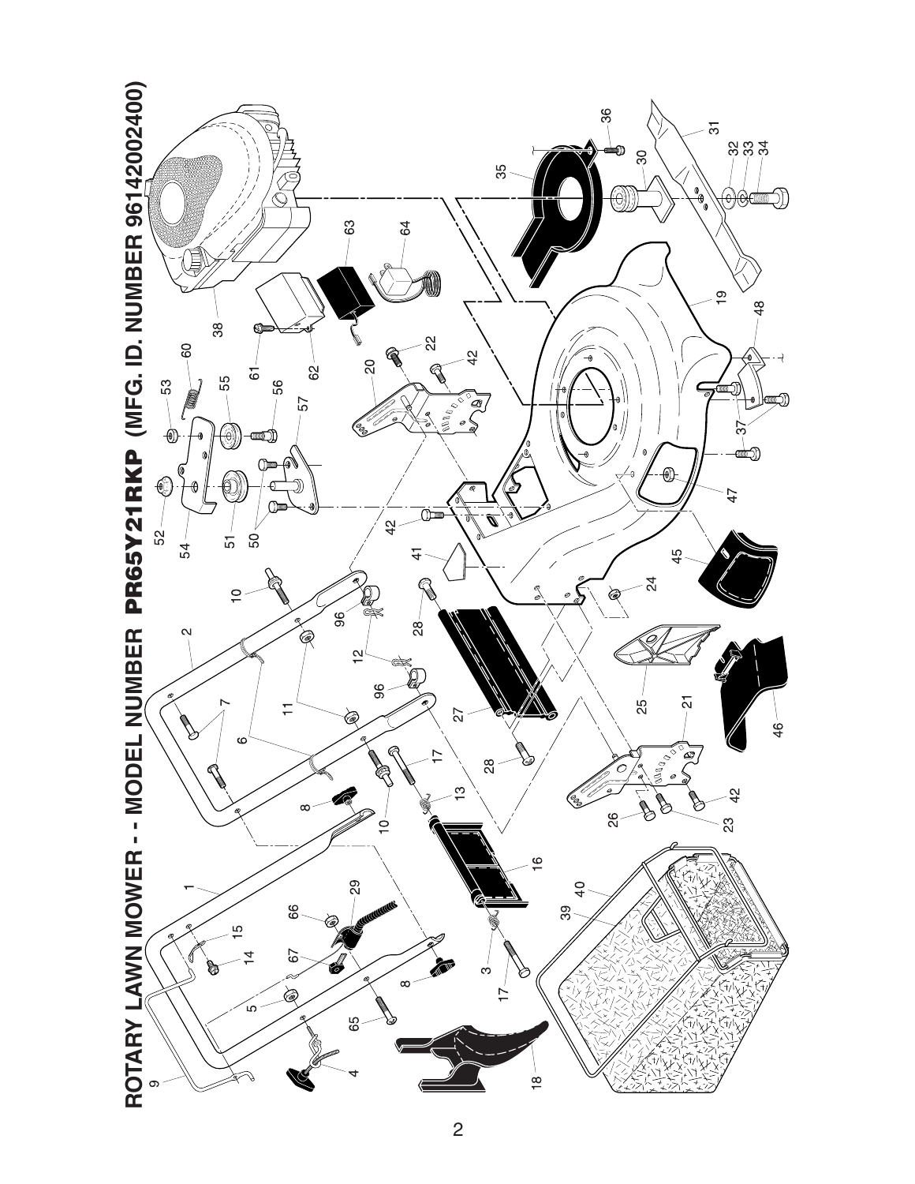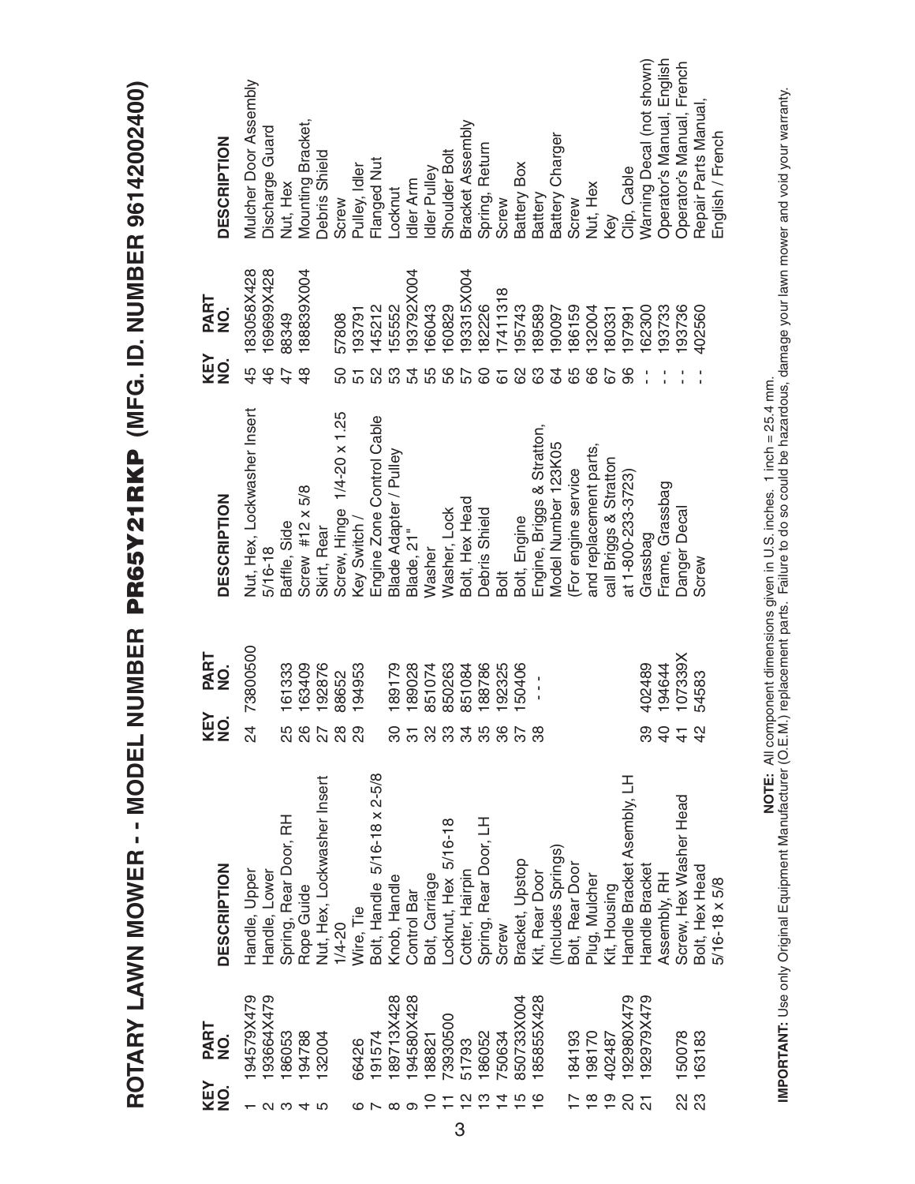ROTARY LAWN MOWER -- MODEL NUMBER PR65Y21RKP (MFG. ID. NUMBER 96142002400) **ROTARY LAWN MOWER - - MODEL NUMBER PR65Y21RKP (MFG. ID. NUMBER 96142002400)**

| KEY<br>NO.                    | PART<br>NO. | <b>DESCRIPTION</b>                    | KEY<br>NO.      | PART<br>NO.   | <b>DESCRIPTION</b>          | KEY<br>NO.     | PART<br>NO. | <b>DESCRIPTION</b>         |
|-------------------------------|-------------|---------------------------------------|-----------------|---------------|-----------------------------|----------------|-------------|----------------------------|
|                               | 94579X479   | Handle, Upper                         | 24              | 73800500      | Nut, Hex, Lockwasher Insert | 45             | 183058X428  | Mulcher Door Assembly      |
|                               | 93664X479   | Handle, Lower                         |                 |               | $5/16 - 18$                 | 46             | 69699X428   | Discharge Guard            |
|                               | 186053      | Spring, Rear Door, RH                 |                 | 161333        | Baffle, Side                |                | 88349       | Nut, Hex                   |
|                               | 94788       | Rope Guide                            |                 | 63409         | Screw #12 $\times$ 5/8      | $\frac{8}{4}$  | 188839X004  | Mounting Bracket,          |
|                               | 32004       | Nut, Hex, Lockwasher Insert           | 5<br>2007<br>20 | 92876         | Skirt, Rear                 |                |             | Debris Shield              |
|                               |             | $1/4 - 20$                            |                 | 88652         | Screw, Hinge 1/4-20 x 1.25  | 50             | 57808       | Screw                      |
|                               | 66426       | Wire, Tie                             | 29              | 194953        | Key Switch /                |                | 193791      | Pulley, Idler              |
|                               | 191574      | Bolt, Handle 5/16-18 x 2-5/8          |                 |               | Engine Zone Control Cable   |                | 145212      | Flanged Nut                |
|                               | 89713X428   | Knob, Handle                          | ္က              | 89179         | Blade Adapter / Pulley      |                | 55552       | -ocknut                    |
|                               | 94580X428   | Control Bar                           | $\overline{5}$  | 89028         | Blade, 21"                  | 54             | 93792X004   | dler Arm                   |
|                               | 188821      | Bolt, Carriage                        | 32              | 851074        | Washer                      | 55             | 66043       | dler Pulley                |
|                               | 73930500    | Locknut, Hex 5/16-18                  | 3358            | 850263        | Washer, Lock                | 56             | 60829       | Shoulder Bolt              |
|                               | 51793       | Cotter, Hairpin                       |                 | 851084        | Bolt, Hex Head              | 57             | 93315X004   | Bracket Assembly           |
|                               | 86052       | Spring, Rear Door, LH                 |                 | 188786        | Debris Shield               | 80             | 82226       | Spring, Return             |
|                               | '50634      | Screw                                 |                 | 92325         | Bolt                        | $\overline{6}$ | 7411318     | Screw                      |
| 797700                        | 850733X004  | Bracket, Upstop                       | $\frac{28}{16}$ | 50406         | Bolt, Engine                | 89             | 95743       | Battery Box                |
|                               | 85855X428   | Kit, Rear Door                        |                 | $\frac{1}{1}$ | Engine, Briggs & Stratton,  | යි             | 89589       | Battery                    |
|                               |             | (Includes Springs)<br>Bolt, Rear Door |                 |               | Model Number 123K05         | 34             | 90097       | Battery Charger            |
| $\frac{6}{10}$ $\frac{6}{10}$ | 84193       |                                       |                 |               | For engine service          |                | 86159       | Screw                      |
|                               | 021861      | Plug, Mulcher                         |                 |               | and replacement parts,      | 89             | 32004       | Nut, Hex                   |
| $\overline{9}$                | 402487      | Kit, Housing                          |                 |               | call Briggs & Stratton      |                | 180331      | Key                        |
| $\overline{c}$                | 92980X479   | Handle Bracket Asembly, LH            |                 |               | at 1-800-233-3723           | 86             | 197991      | Clip, Cable                |
| $\overline{2}$                | 192979X479  | Handle Bracket                        | 89              | 402489        | Grassbag                    |                | 62300       | Warning Decal (not shown)  |
|                               |             | Assembly, RH                          |                 | 194644        | Frame, Grassbag             |                | 93733       | Operator's Manual, English |
| 22                            | 150078      | Screw, Hex Washer Head                | 3.43            | 107339X       | Danger Decal                |                | 93736       | Operator's Manual, French  |
| 23                            | 163183      | Bolt, Hex Head                        |                 | 54583         | Screw                       |                | 402560      | Repair Parts Manual,       |
|                               |             | 5/16-18 x 5/8                         |                 |               |                             |                |             | English / French           |

**IMPORTANT:** Use only Original Equipment Manufacturer (O.E.M.) replacement parts. Failure to do so could be hazardous, damage your lawn mower and void your warranty.<br>IMPORTANT: Use only Original Equipment Manufacturer (O. **IMPORTANT:** Use only Original Equipment Manufacturer (O.E.M.) replacement parts. Failure to do so could be hazardous, damage your lawn mower and void your warranty. **NOTE:** All component dimensions given in U.S. inches. 1 inch = 25.4 mm.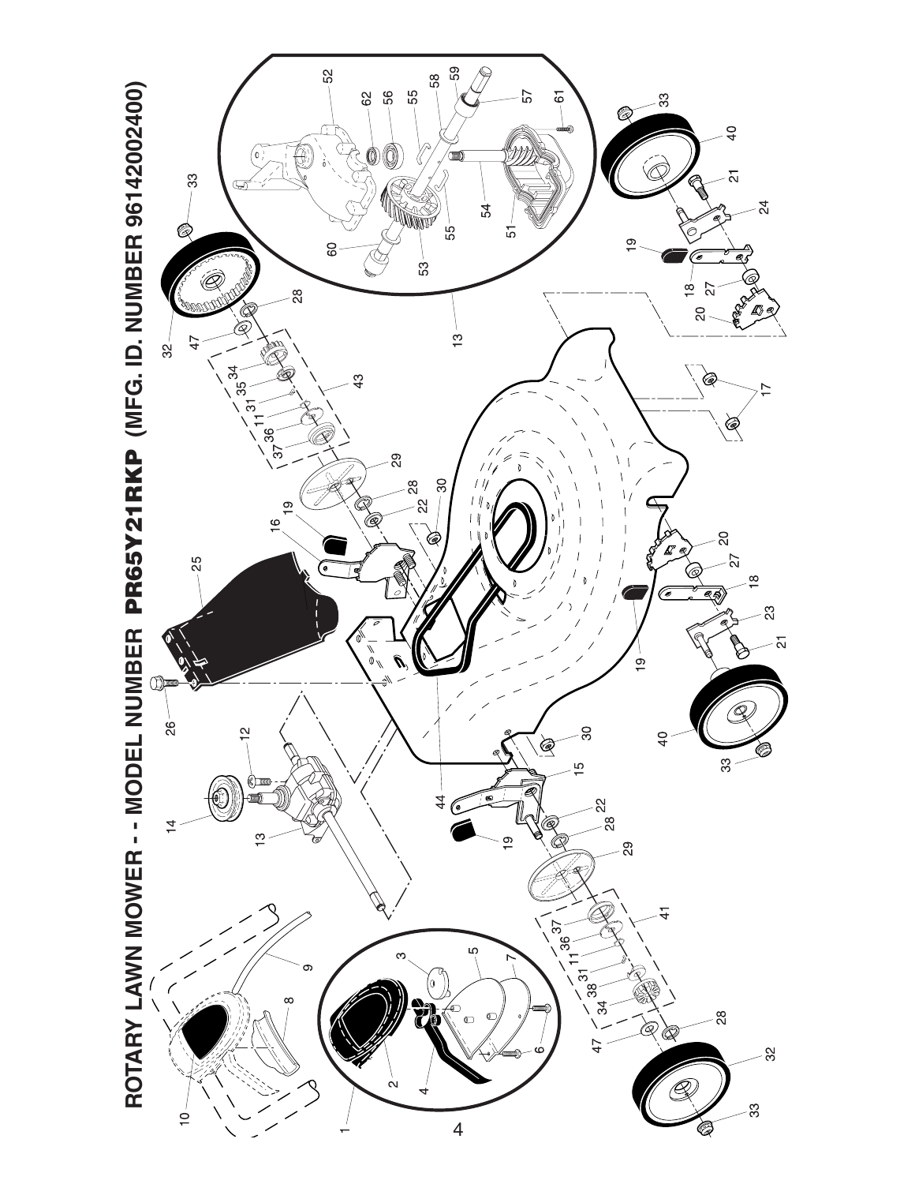